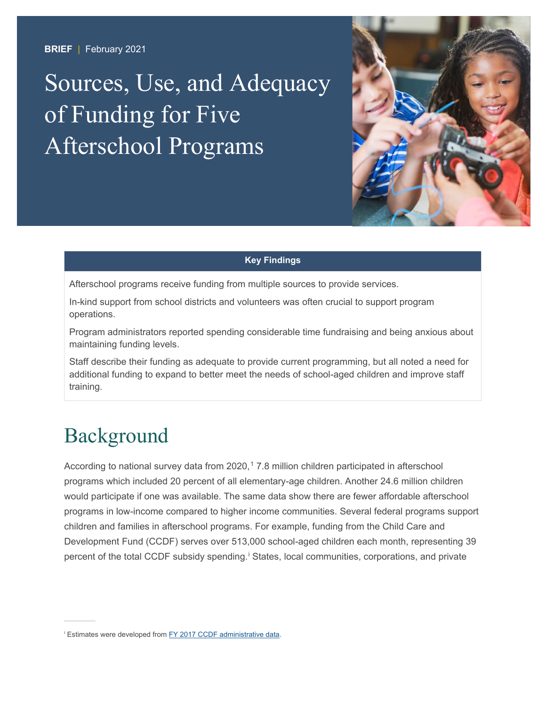**BRIEF** | February 2021

# Sources, Use, and Adequacy of Funding for Five Afterschool Programs



#### **Key Findings**

Afterschool programs receive funding from multiple sources to provide services.

In-kind support from school districts and volunteers was often crucial to support program operations.

Program administrators reported spending considerable time fundraising and being anxious about maintaining funding levels.

Staff describe their funding as adequate to provide current programming, but all noted a need for additional funding to expand to better meet the needs of school-aged children and improve staff training.

### Background

According to national survey data from 2020,<sup>[1](#page-7-0)</sup> 7.8 million children participated in afterschool programs which included 20 percent of all elementary-age children. Another 24.6 million children would participate if one was available. The same data show there are fewer affordable afterschool programs in low-income compared to higher income communities. Several federal programs support children and families in afterschool programs. For example, funding from the Child Care and Development Fund (CCDF) serves over 513,000 school-aged children each month, representing 39 percent of the total CCDF subs[i](#page-0-0)dy spending.<sup>i</sup> States, local communities, corporations, and private

<span id="page-0-0"></span>**Estimates were developed from FY 2017 CCDF administrative data.**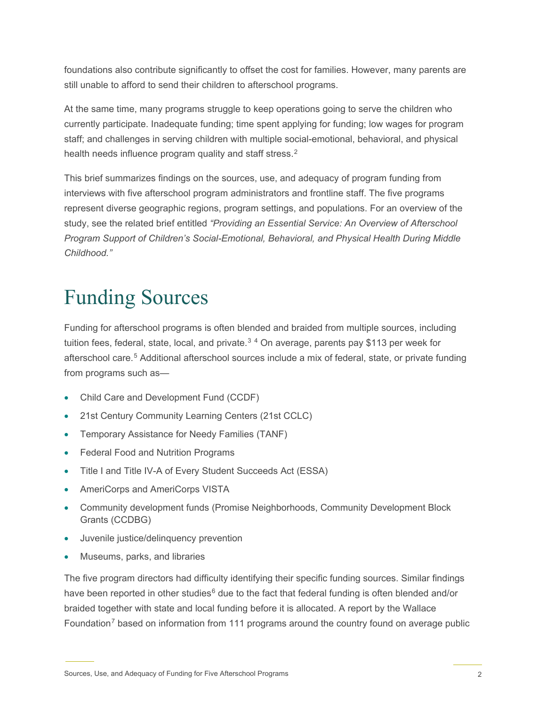foundations also contribute significantly to offset the cost for families. However, many parents are still unable to afford to send their children to afterschool programs.

At the same time, many programs struggle to keep operations going to serve the children who currently participate. Inadequate funding; time spent applying for funding; low wages for program staff; and challenges in serving children with multiple social-emotional, behavioral, and physical health needs influence program quality and staff stress. [2](#page-7-1) 

This brief summarizes findings on the sources, use, and adequacy of program funding from interviews with five afterschool program administrators and frontline staff. The five programs represent diverse geographic regions, program settings, and populations. For an overview of the study, see the related brief entitled *"Providing an Essential Service: An Overview of Afterschool Program Support of Children's Social-Emotional, Behavioral, and Physical Health During Middle Childhood."*

## Funding Sources

Funding for afterschool programs is often blended and braided from multiple sources, including tuition fees, federal, state, local, and private.<sup>[3](#page-7-2)[4](#page-7-3)</sup> On average, parents pay \$113 per week for afterschool care.[5](#page-7-4) Additional afterschool sources include a mix of federal, state, or private funding from programs such as—

- Child Care and Development Fund (CCDF)
- 21st Century Community Learning Centers (21st CCLC)
- Temporary Assistance for Needy Families (TANF)
- Federal Food and Nutrition Programs
- Title I and Title IV-A of Every Student Succeeds Act (ESSA)
- AmeriCorps and AmeriCorps VISTA
- Community development funds (Promise Neighborhoods, Community Development Block Grants (CCDBG)
- Juvenile justice/delinquency prevention
- Museums, parks, and libraries

The five program directors had difficulty identifying their specific funding sources. Similar findings have been reported in other studies<sup>[6](#page-7-5)</sup> due to the fact that federal funding is often blended and/or braided together with state and local funding before it is allocated. A report by the Wallace Foundation<sup>[7](#page-7-6)</sup> based on information from 111 programs around the country found on average public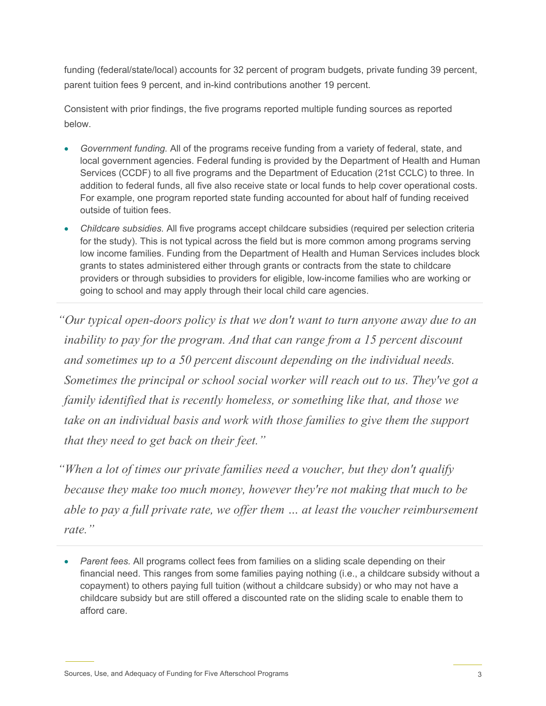funding (federal/state/local) accounts for 32 percent of program budgets, private funding 39 percent, parent tuition fees 9 percent, and in-kind contributions another 19 percent.

Consistent with prior findings, the five programs reported multiple funding sources as reported below.

- *Government funding.* All of the programs receive funding from a variety of federal, state, and local government agencies. Federal funding is provided by the Department of Health and Human Services (CCDF) to all five programs and the Department of Education (21st CCLC) to three. In addition to federal funds, all five also receive state or local funds to help cover operational costs. For example, one program reported state funding accounted for about half of funding received outside of tuition fees.
- *Childcare subsidies.* All five programs accept childcare subsidies (required per selection criteria for the study). This is not typical across the field but is more common among programs serving low income families. Funding from the Department of Health and Human Services includes block grants to states administered either through grants or contracts from the state to childcare providers or through subsidies to providers for eligible, low-income families who are working or going to school and may apply through their local child care agencies.

*"Our typical open-doors policy is that we don't want to turn anyone away due to an inability to pay for the program. And that can range from a 15 percent discount and sometimes up to a 50 percent discount depending on the individual needs. Sometimes the principal or school social worker will reach out to us. They've got a family identified that is recently homeless, or something like that, and those we take on an individual basis and work with those families to give them the support that they need to get back on their feet."*

*"When a lot of times our private families need a voucher, but they don't qualify because they make too much money, however they're not making that much to be able to pay a full private rate, we offer them … at least the voucher reimbursement rate."*

<sup>•</sup> *Parent fees.* All programs collect fees from families on a sliding scale depending on their financial need. This ranges from some families paying nothing (i.e., a childcare subsidy without a copayment) to others paying full tuition (without a childcare subsidy) or who may not have a childcare subsidy but are still offered a discounted rate on the sliding scale to enable them to afford care.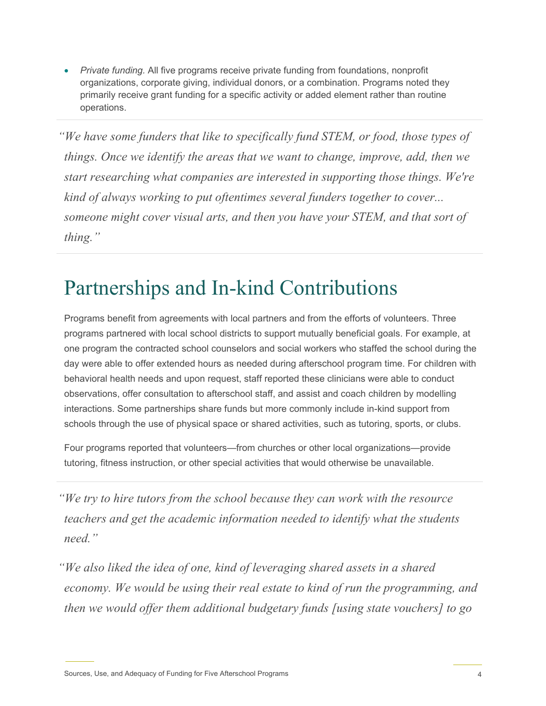• *Private funding.* All five programs receive private funding from foundations, nonprofit organizations, corporate giving, individual donors, or a combination. Programs noted they primarily receive grant funding for a specific activity or added element rather than routine operations.

*"We have some funders that like to specifically fund STEM, or food, those types of things. Once we identify the areas that we want to change, improve, add, then we start researching what companies are interested in supporting those things. We're kind of always working to put oftentimes several funders together to cover... someone might cover visual arts, and then you have your STEM, and that sort of thing."*

#### Partnerships and In-kind Contributions

Programs benefit from agreements with local partners and from the efforts of volunteers. Three programs partnered with local school districts to support mutually beneficial goals. For example, at one program the contracted school counselors and social workers who staffed the school during the day were able to offer extended hours as needed during afterschool program time. For children with behavioral health needs and upon request, staff reported these clinicians were able to conduct observations, offer consultation to afterschool staff, and assist and coach children by modelling interactions. Some partnerships share funds but more commonly include in-kind support from schools through the use of physical space or shared activities, such as tutoring, sports, or clubs.

Four programs reported that volunteers—from churches or other local organizations—provide tutoring, fitness instruction, or other special activities that would otherwise be unavailable.

*"We try to hire tutors from the school because they can work with the resource teachers and get the academic information needed to identify what the students need."*

*"We also liked the idea of one, kind of leveraging shared assets in a shared economy. We would be using their real estate to kind of run the programming, and then we would offer them additional budgetary funds [using state vouchers] to go*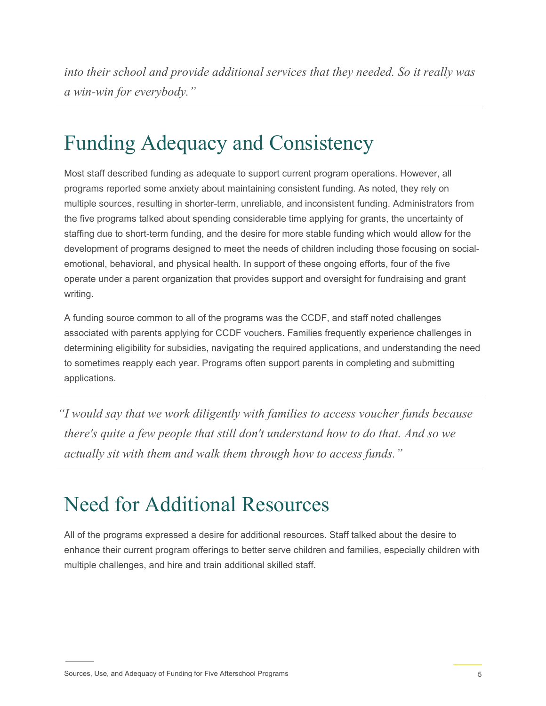*into their school and provide additional services that they needed. So it really was a win-win for everybody."*

### Funding Adequacy and Consistency

Most staff described funding as adequate to support current program operations. However, all programs reported some anxiety about maintaining consistent funding. As noted, they rely on multiple sources, resulting in shorter-term, unreliable, and inconsistent funding. Administrators from the five programs talked about spending considerable time applying for grants, the uncertainty of staffing due to short-term funding, and the desire for more stable funding which would allow for the development of programs designed to meet the needs of children including those focusing on socialemotional, behavioral, and physical health. In support of these ongoing efforts, four of the five operate under a parent organization that provides support and oversight for fundraising and grant writing.

A funding source common to all of the programs was the CCDF, and staff noted challenges associated with parents applying for CCDF vouchers. Families frequently experience challenges in determining eligibility for subsidies, navigating the required applications, and understanding the need to sometimes reapply each year. Programs often support parents in completing and submitting applications.

*"I would say that we work diligently with families to access voucher funds because there's quite a few people that still don't understand how to do that. And so we actually sit with them and walk them through how to access funds."*

#### Need for Additional Resources

All of the programs expressed a desire for additional resources. Staff talked about the desire to enhance their current program offerings to better serve children and families, especially children with multiple challenges, and hire and train additional skilled staff.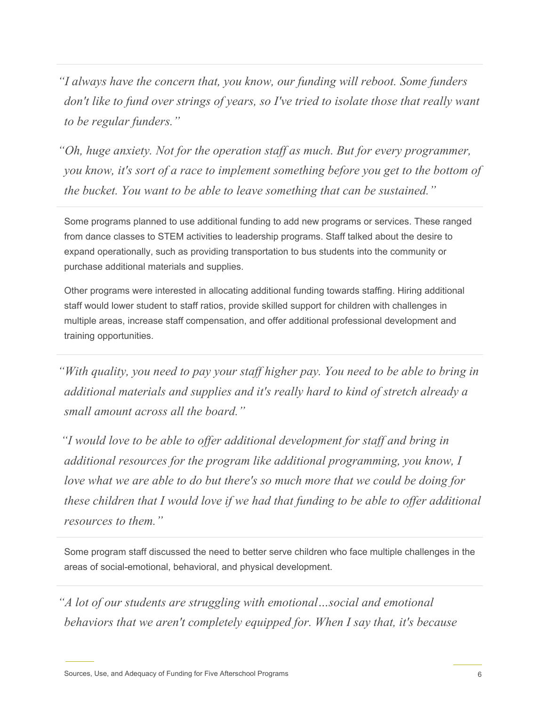*"I always have the concern that, you know, our funding will reboot. Some funders don't like to fund over strings of years, so I've tried to isolate those that really want to be regular funders."*

*"Oh, huge anxiety. Not for the operation staff as much. But for every programmer, you know, it's sort of a race to implement something before you get to the bottom of the bucket. You want to be able to leave something that can be sustained."*

Some programs planned to use additional funding to add new programs or services. These ranged from dance classes to STEM activities to leadership programs. Staff talked about the desire to expand operationally, such as providing transportation to bus students into the community or purchase additional materials and supplies.

Other programs were interested in allocating additional funding towards staffing. Hiring additional staff would lower student to staff ratios, provide skilled support for children with challenges in multiple areas, increase staff compensation, and offer additional professional development and training opportunities.

*"With quality, you need to pay your staff higher pay. You need to be able to bring in additional materials and supplies and it's really hard to kind of stretch already a small amount across all the board."*

*"I would love to be able to offer additional development for staff and bring in additional resources for the program like additional programming, you know, I love what we are able to do but there's so much more that we could be doing for these children that I would love if we had that funding to be able to offer additional resources to them."*

Some program staff discussed the need to better serve children who face multiple challenges in the areas of social-emotional, behavioral, and physical development.

*"A lot of our students are struggling with emotional…social and emotional behaviors that we aren't completely equipped for. When I say that, it's because*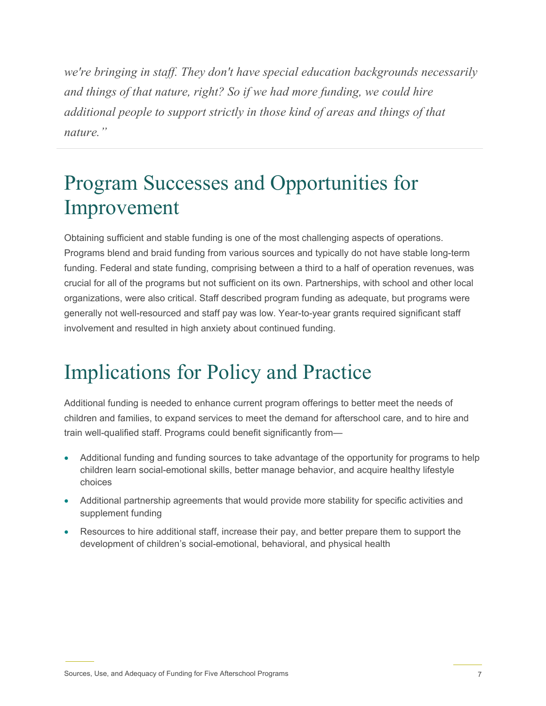*we're bringing in staff. They don't have special education backgrounds necessarily and things of that nature, right? So if we had more funding, we could hire additional people to support strictly in those kind of areas and things of that nature."*

### Program Successes and Opportunities for Improvement

Obtaining sufficient and stable funding is one of the most challenging aspects of operations. Programs blend and braid funding from various sources and typically do not have stable long-term funding. Federal and state funding, comprising between a third to a half of operation revenues, was crucial for all of the programs but not sufficient on its own. Partnerships, with school and other local organizations, were also critical. Staff described program funding as adequate, but programs were generally not well-resourced and staff pay was low. Year-to-year grants required significant staff involvement and resulted in high anxiety about continued funding.

### Implications for Policy and Practice

Additional funding is needed to enhance current program offerings to better meet the needs of children and families, to expand services to meet the demand for afterschool care, and to hire and train well-qualified staff. Programs could benefit significantly from—

- Additional funding and funding sources to take advantage of the opportunity for programs to help children learn social-emotional skills, better manage behavior, and acquire healthy lifestyle choices
- Additional partnership agreements that would provide more stability for specific activities and supplement funding
- Resources to hire additional staff, increase their pay, and better prepare them to support the development of children's social-emotional, behavioral, and physical health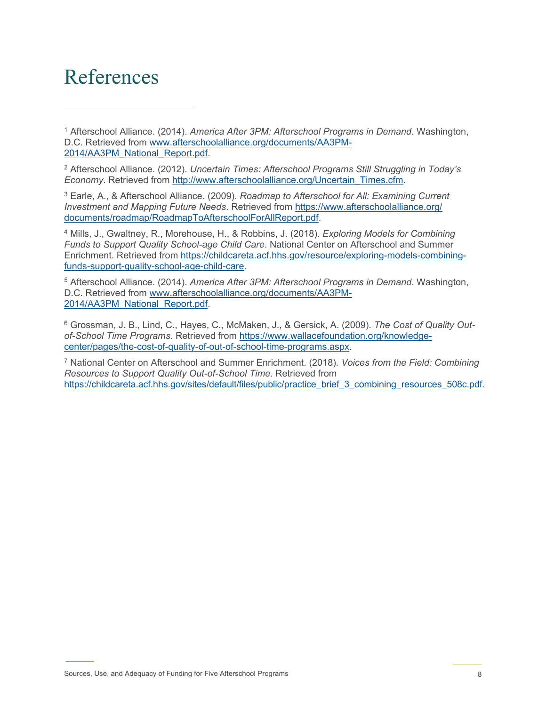#### References

<span id="page-7-0"></span><sup>1</sup> Afterschool Alliance. (2014). *America After 3PM: Afterschool Programs in Demand*. Washington, D.C. Retrieved from [www.afterschoolalliance.org/documents/AA3PM-](http://www.afterschoolalliance.org/documents/AA3PM-2014/AA3PM_National_Report.pdf)[2014/AA3PM\\_National\\_Report.pdf.](http://www.afterschoolalliance.org/documents/AA3PM-2014/AA3PM_National_Report.pdf)

<span id="page-7-1"></span><sup>2</sup> Afterschool Alliance. (2012). *Uncertain Times: Afterschool Programs Still Struggling in Today's Economy*. Retrieved from [http://www.afterschoolalliance.org/Uncertain\\_Times.cfm.](http://www.afterschoolalliance.org/Uncertain_Times.cfm)

<span id="page-7-2"></span><sup>3</sup> Earle, A., & Afterschool Alliance. (2009). *Roadmap to Afterschool for All: Examining Current Investment and Mapping Future Needs*. Retrieved from [https://www.afterschoolalliance.org/](https://www.afterschoolalliance.org/documents/roadmap/RoadmapToAfterschoolForAllReport.pdf) [documents/roadmap/RoadmapToAfterschoolForAllReport.pdf.](https://www.afterschoolalliance.org/documents/roadmap/RoadmapToAfterschoolForAllReport.pdf)

<span id="page-7-3"></span><sup>4</sup> Mills, J., Gwaltney, R., Morehouse, H., & Robbins, J. (2018). *Exploring Models for Combining Funds to Support Quality School-age Child Care*. National Center on Afterschool and Summer Enrichment. Retrieved from [https://childcareta.acf.hhs.gov/resource/exploring-models-combining](https://childcareta.acf.hhs.gov/resource/exploring-models-combining-funds-support-quality-school-age-child-care)[funds-support-quality-school-age-child-care.](https://childcareta.acf.hhs.gov/resource/exploring-models-combining-funds-support-quality-school-age-child-care)

<span id="page-7-4"></span><sup>5</sup> Afterschool Alliance. (2014). *America After 3PM: Afterschool Programs in Demand*. Washington, D.C. Retrieved from [www.afterschoolalliance.org/documents/AA3PM-](http://www.afterschoolalliance.org/documents/AA3PM-2014/AA3PM_National_Report.pdf)[2014/AA3PM\\_National\\_Report.pdf.](http://www.afterschoolalliance.org/documents/AA3PM-2014/AA3PM_National_Report.pdf)

<span id="page-7-5"></span><sup>6</sup> Grossman, J. B., Lind, C., Hayes, C., McMaken, J., & Gersick, A. (2009). *The Cost of Quality Outof-School Time Programs*. Retrieved from [https://www.wallacefoundation.org/knowledge](https://www.wallacefoundation.org/knowledge-center/pages/the-cost-of-quality-of-out-of-school-time-programs.aspx)[center/pages/the-cost-of-quality-of-out-of-school-time-programs.aspx.](https://www.wallacefoundation.org/knowledge-center/pages/the-cost-of-quality-of-out-of-school-time-programs.aspx)

<span id="page-7-6"></span><sup>7</sup> National Center on Afterschool and Summer Enrichment. (2018). *Voices from the Field: Combining Resources to Support Quality Out-of-School Time*. Retrieved from [https://childcareta.acf.hhs.gov/sites/default/files/public/practice\\_brief\\_3\\_combining\\_resources\\_508c.pdf.](https://childcareta.acf.hhs.gov/sites/default/files/public/practice_brief_3_combining_resources_508c.pdf)